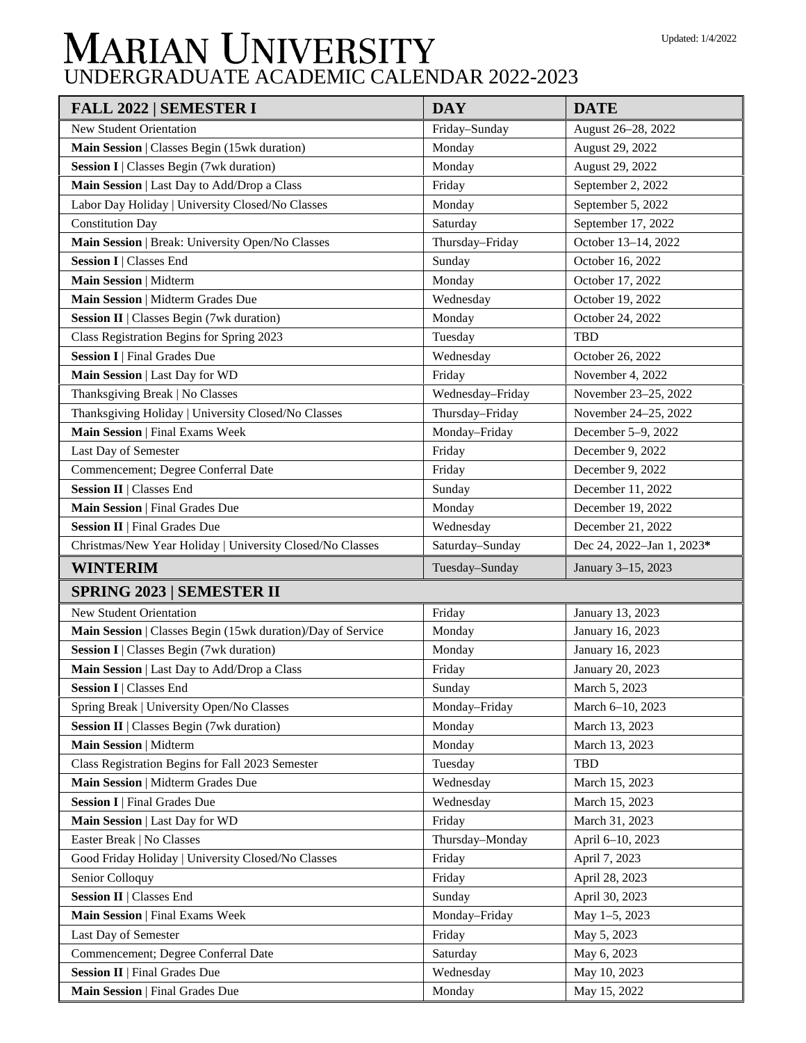## **MARIAN UNIVERSITY**<br>UNDERGRADUATE ACADEMIC CALENDAR 2022-2023

| <b>FALL 2022   SEMESTER I</b>                               | <b>DAY</b>       | <b>DATE</b>               |
|-------------------------------------------------------------|------------------|---------------------------|
| <b>New Student Orientation</b>                              | Friday-Sunday    | August 26-28, 2022        |
| Main Session   Classes Begin (15wk duration)                | Monday           | August 29, 2022           |
| <b>Session I</b>   Classes Begin (7wk duration)             | Monday           | August 29, 2022           |
| Main Session   Last Day to Add/Drop a Class                 | Friday           | September 2, 2022         |
| Labor Day Holiday   University Closed/No Classes            | Monday           | September 5, 2022         |
| <b>Constitution Day</b>                                     | Saturday         | September 17, 2022        |
| Main Session   Break: University Open/No Classes            | Thursday-Friday  | October 13-14, 2022       |
| <b>Session I   Classes End</b>                              | Sunday           | October 16, 2022          |
| Main Session   Midterm                                      | Monday           | October 17, 2022          |
| Main Session   Midterm Grades Due                           | Wednesday        | October 19, 2022          |
| Session II   Classes Begin (7wk duration)                   | Monday           | October 24, 2022          |
| Class Registration Begins for Spring 2023                   | Tuesday          | <b>TBD</b>                |
| <b>Session I</b>   Final Grades Due                         | Wednesday        | October 26, 2022          |
| Main Session   Last Day for WD                              | Friday           | November 4, 2022          |
| Thanksgiving Break   No Classes                             | Wednesday-Friday | November 23-25, 2022      |
| Thanksgiving Holiday   University Closed/No Classes         | Thursday-Friday  | November 24-25, 2022      |
| Main Session   Final Exams Week                             | Monday-Friday    | December 5-9, 2022        |
| Last Day of Semester                                        | Friday           | December 9, 2022          |
| Commencement; Degree Conferral Date                         | Friday           | December 9, 2022          |
| <b>Session II   Classes End</b>                             | Sunday           | December 11, 2022         |
| Main Session   Final Grades Due                             | Monday           | December 19, 2022         |
| <b>Session II</b>   Final Grades Due                        | Wednesday        | December 21, 2022         |
| Christmas/New Year Holiday   University Closed/No Classes   | Saturday-Sunday  | Dec 24, 2022-Jan 1, 2023* |
| <b>WINTERIM</b>                                             | Tuesday-Sunday   | January 3-15, 2023        |
| <b>SPRING 2023   SEMESTER II</b>                            |                  |                           |
| <b>New Student Orientation</b>                              | Friday           | January 13, 2023          |
| Main Session   Classes Begin (15wk duration)/Day of Service | Monday           | January 16, 2023          |
| Session I   Classes Begin (7wk duration)                    | Monday           | January 16, 2023          |
| Main Session   Last Day to Add/Drop a Class                 | Friday           | January 20, 2023          |
| <b>Session I</b>   Classes End                              | Sunday           | March 5, 2023             |
| Spring Break   University Open/No Classes                   | Monday-Friday    | March 6-10, 2023          |
| Session II   Classes Begin (7wk duration)                   | Monday           | March 13, 2023            |
| Main Session   Midterm                                      | Monday           | March 13, 2023            |
| Class Registration Begins for Fall 2023 Semester            | Tuesday          | <b>TBD</b>                |
| Main Session   Midterm Grades Due                           | Wednesday        | March 15, 2023            |
| <b>Session I</b>   Final Grades Due                         | Wednesday        | March 15, 2023            |
| Main Session   Last Day for WD                              | Friday           | March 31, 2023            |
| Easter Break   No Classes                                   | Thursday-Monday  | April 6-10, 2023          |
| Good Friday Holiday   University Closed/No Classes          | Friday           | April 7, 2023             |
| Senior Colloquy                                             | Friday           | April 28, 2023            |
| <b>Session II   Classes End</b>                             | Sunday           | April 30, 2023            |
| Main Session   Final Exams Week                             | Monday-Friday    | May 1-5, 2023             |
| Last Day of Semester                                        | Friday           | May 5, 2023               |
| Commencement; Degree Conferral Date                         | Saturday         | May 6, 2023               |
| <b>Session II</b>   Final Grades Due                        | Wednesday        | May 10, 2023              |
| Main Session   Final Grades Due                             | Monday           | May 15, 2022              |